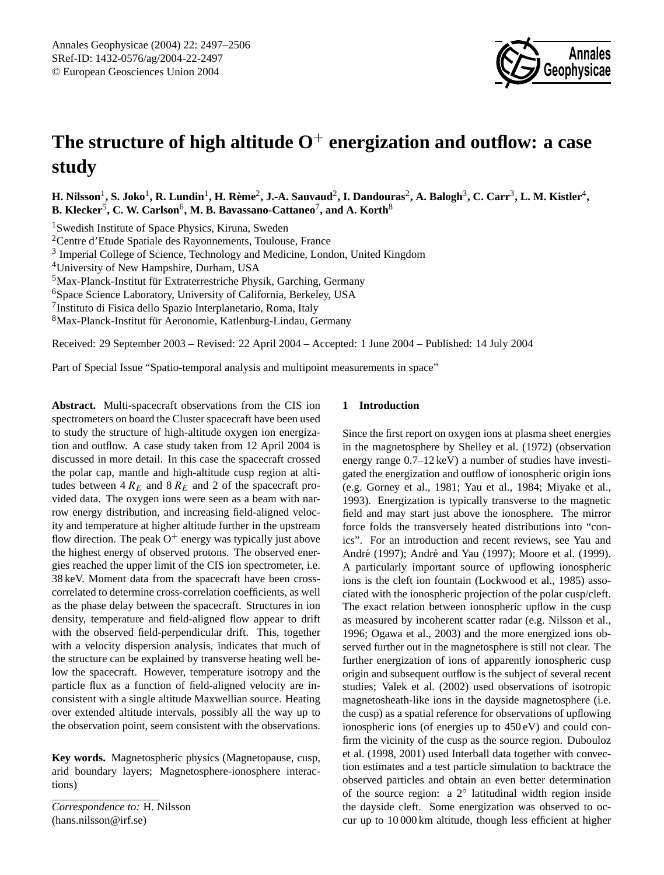

# **The structure of high altitude O**<sup>+</sup> **energization and outflow: a case study**

 $H$ . Nilsson<sup>1</sup>, S. Joko<sup>1</sup>, R. Lundin<sup>1</sup>, H. Rème<sup>2</sup>, J.-A. Sauvaud<sup>2</sup>, I. Dandouras<sup>2</sup>, A. Balogh<sup>3</sup>, C. Carr<sup>3</sup>, L. M. Kistler<sup>4</sup>,  $\mathbf{B}.$  Klecker<sup>5</sup>, C. W. Carlson<sup>6</sup>, M. B. Bavassano-Cattaneo<sup>7</sup>, and A. Korth<sup>8</sup>

<sup>1</sup>Swedish Institute of Space Physics, Kiruna, Sweden

<sup>2</sup>Centre d'Etude Spatiale des Rayonnements, Toulouse, France

<sup>3</sup> Imperial College of Science, Technology and Medicine, London, United Kingdom

<sup>4</sup>University of New Hampshire, Durham, USA

 $5$ Max-Planck-Institut für Extraterrestriche Physik, Garching, Germany

<sup>6</sup>Space Science Laboratory, University of California, Berkeley, USA

7 Instituto di Fisica dello Spazio Interplanetario, Roma, Italy

<sup>8</sup>Max-Planck-Institut für Aeronomie, Katlenburg-Lindau, Germany

Received: 29 September 2003 – Revised: 22 April 2004 – Accepted: 1 June 2004 – Published: 14 July 2004

Part of Special Issue "Spatio-temporal analysis and multipoint measurements in space"

**Abstract.** Multi-spacecraft observations from the CIS ion spectrometers on board the Cluster spacecraft have been used to study the structure of high-altitude oxygen ion energization and outflow. A case study taken from 12 April 2004 is discussed in more detail. In this case the spacecraft crossed the polar cap, mantle and high-altitude cusp region at altitudes between  $4 R_E$  and  $8 R_E$  and 2 of the spacecraft provided data. The oxygen ions were seen as a beam with narrow energy distribution, and increasing field-aligned velocity and temperature at higher altitude further in the upstream flow direction. The peak  $O^+$  energy was typically just above the highest energy of observed protons. The observed energies reached the upper limit of the CIS ion spectrometer, i.e. 38 keV. Moment data from the spacecraft have been crosscorrelated to determine cross-correlation coefficients, as well as the phase delay between the spacecraft. Structures in ion density, temperature and field-aligned flow appear to drift with the observed field-perpendicular drift. This, together with a velocity dispersion analysis, indicates that much of the structure can be explained by transverse heating well below the spacecraft. However, temperature isotropy and the particle flux as a function of field-aligned velocity are inconsistent with a single altitude Maxwellian source. Heating over extended altitude intervals, possibly all the way up to the observation point, seem consistent with the observations.

**Key words.** Magnetospheric physics (Magnetopause, cusp, arid boundary layers; Magnetosphere-ionosphere interactions)

*Correspondence to:* H. Nilsson (hans.nilsson@irf.se)

## **1 Introduction**

Since the first report on oxygen ions at plasma sheet energies in the magnetosphere by Shelley et al. (1972) (observation energy range 0.7–12 keV) a number of studies have investigated the energization and outflow of ionospheric origin ions (e.g. Gorney et al., 1981; Yau et al., 1984; Miyake et al., 1993). Energization is typically transverse to the magnetic field and may start just above the ionosphere. The mirror force folds the transversely heated distributions into "conics". For an introduction and recent reviews, see Yau and André (1997); André and Yau (1997); Moore et al. (1999). A particularly important source of upflowing ionospheric ions is the cleft ion fountain (Lockwood et al., 1985) associated with the ionospheric projection of the polar cusp/cleft. The exact relation between ionospheric upflow in the cusp as measured by incoherent scatter radar (e.g. Nilsson et al., 1996; Ogawa et al., 2003) and the more energized ions observed further out in the magnetosphere is still not clear. The further energization of ions of apparently ionospheric cusp origin and subsequent outflow is the subject of several recent studies; Valek et al. (2002) used observations of isotropic magnetosheath-like ions in the dayside magnetosphere (i.e. the cusp) as a spatial reference for observations of upflowing ionospheric ions (of energies up to 450 eV) and could confirm the vicinity of the cusp as the source region. Dubouloz et al. (1998, 2001) used Interball data together with convection estimates and a test particle simulation to backtrace the observed particles and obtain an even better determination of the source region: a 2◦ latitudinal width region inside the dayside cleft. Some energization was observed to occur up to 10 000 km altitude, though less efficient at higher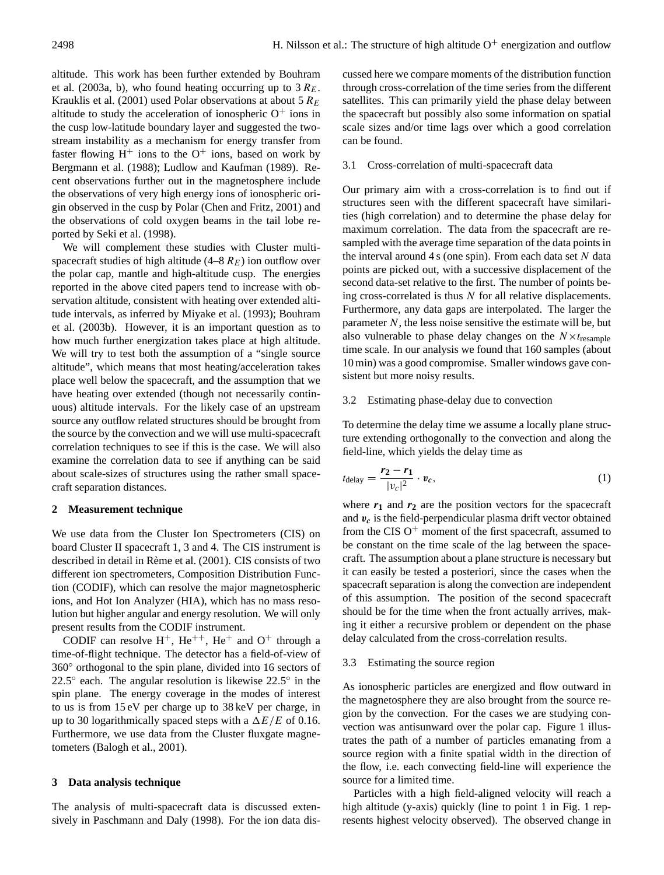altitude. This work has been further extended by Bouhram et al. (2003a, b), who found heating occurring up to  $3 R_E$ . Krauklis et al. (2001) used Polar observations at about 5  $R_E$ altitude to study the acceleration of ionospheric  $O^+$  ions in the cusp low-latitude boundary layer and suggested the twostream instability as a mechanism for energy transfer from faster flowing  $H^+$  ions to the  $O^+$  ions, based on work by Bergmann et al. (1988); Ludlow and Kaufman (1989). Recent observations further out in the magnetosphere include the observations of very high energy ions of ionospheric origin observed in the cusp by Polar (Chen and Fritz, 2001) and the observations of cold oxygen beams in the tail lobe reported by Seki et al. (1998).

We will complement these studies with Cluster multispacecraft studies of high altitude  $(4-8 R_E)$  ion outflow over the polar cap, mantle and high-altitude cusp. The energies reported in the above cited papers tend to increase with observation altitude, consistent with heating over extended altitude intervals, as inferred by Miyake et al. (1993); Bouhram et al. (2003b). However, it is an important question as to how much further energization takes place at high altitude. We will try to test both the assumption of a "single source" altitude", which means that most heating/acceleration takes place well below the spacecraft, and the assumption that we have heating over extended (though not necessarily continuous) altitude intervals. For the likely case of an upstream source any outflow related structures should be brought from the source by the convection and we will use multi-spacecraft correlation techniques to see if this is the case. We will also examine the correlation data to see if anything can be said about scale-sizes of structures using the rather small spacecraft separation distances.

#### **2 Measurement technique**

We use data from the Cluster Ion Spectrometers (CIS) on board Cluster II spacecraft 1, 3 and 4. The CIS instrument is described in detail in Rème et al. (2001). CIS consists of two different ion spectrometers, Composition Distribution Function (CODIF), which can resolve the major magnetospheric ions, and Hot Ion Analyzer (HIA), which has no mass resolution but higher angular and energy resolution. We will only present results from the CODIF instrument.

CODIF can resolve  $H^+$ ,  $He^{++}$ ,  $He^+$  and  $O^+$  through a time-of-flight technique. The detector has a field-of-view of 360◦ orthogonal to the spin plane, divided into 16 sectors of 22.5 $^{\circ}$  each. The angular resolution is likewise 22.5 $^{\circ}$  in the spin plane. The energy coverage in the modes of interest to us is from 15 eV per charge up to 38 keV per charge, in up to 30 logarithmically spaced steps with a  $\Delta E/E$  of 0.16. Furthermore, we use data from the Cluster fluxgate magnetometers (Balogh et al., 2001).

## **3 Data analysis technique**

The analysis of multi-spacecraft data is discussed extensively in Paschmann and Daly (1998). For the ion data discussed here we compare moments of the distribution function through cross-correlation of the time series from the different satellites. This can primarily yield the phase delay between the spacecraft but possibly also some information on spatial scale sizes and/or time lags over which a good correlation can be found.

#### 3.1 Cross-correlation of multi-spacecraft data

Our primary aim with a cross-correlation is to find out if structures seen with the different spacecraft have similarities (high correlation) and to determine the phase delay for maximum correlation. The data from the spacecraft are resampled with the average time separation of the data points in the interval around  $4 s$  (one spin). From each data set  $N$  data points are picked out, with a successive displacement of the second data-set relative to the first. The number of points being cross-correlated is thus  $N$  for all relative displacements. Furthermore, any data gaps are interpolated. The larger the parameter  $N$ , the less noise sensitive the estimate will be, but also vulnerable to phase delay changes on the  $N \times t_{\text{resample}}$ time scale. In our analysis we found that 160 samples (about 10 min) was a good compromise. Smaller windows gave consistent but more noisy results.

## 3.2 Estimating phase-delay due to convection

To determine the delay time we assume a locally plane structure extending orthogonally to the convection and along the field-line, which yields the delay time as

$$
t_{\text{delay}} = \frac{\mathbf{r}_2 - \mathbf{r}_1}{|v_c|^2} \cdot \mathbf{v}_c,\tag{1}
$$

where  $r_1$  and  $r_2$  are the position vectors for the spacecraft and  $v_c$  is the field-perpendicular plasma drift vector obtained from the CIS  $O<sup>+</sup>$  moment of the first spacecraft, assumed to be constant on the time scale of the lag between the spacecraft. The assumption about a plane structure is necessary but it can easily be tested a posteriori, since the cases when the spacecraft separation is along the convection are independent of this assumption. The position of the second spacecraft should be for the time when the front actually arrives, making it either a recursive problem or dependent on the phase delay calculated from the cross-correlation results.

## 3.3 Estimating the source region

As ionospheric particles are energized and flow outward in the magnetosphere they are also brought from the source region by the convection. For the cases we are studying convection was antisunward over the polar cap. Figure 1 illustrates the path of a number of particles emanating from a source region with a finite spatial width in the direction of the flow, i.e. each convecting field-line will experience the source for a limited time.

Particles with a high field-aligned velocity will reach a high altitude (y-axis) quickly (line to point 1 in Fig. 1 represents highest velocity observed). The observed change in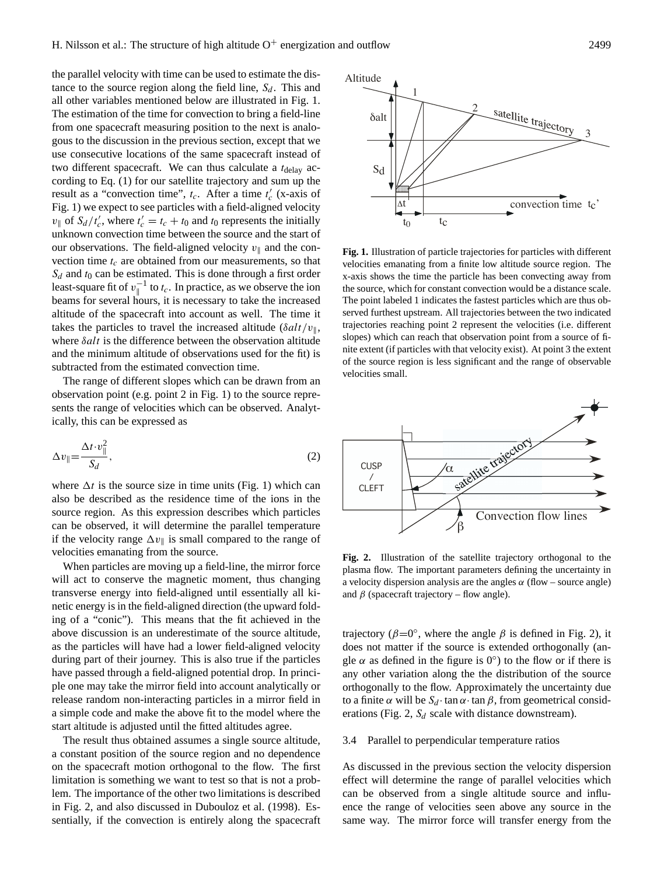the parallel velocity with time can be used to estimate the distance to the source region along the field line,  $S_d$ . This and all other variables mentioned below are illustrated in Fig. 1. The estimation of the time for convection to bring a field-line from one spacecraft measuring position to the next is analogous to the discussion in the previous section, except that we use consecutive locations of the same spacecraft instead of two different spacecraft. We can thus calculate a  $t_{\text{delay}}$  according to Eq. (1) for our satellite trajectory and sum up the result as a "convection time",  $t_c$ . After a time  $t_c'$  (x-axis of Fig. 1) we expect to see particles with a field-aligned velocity  $v_{\parallel}$  of  $S_d / t_c'$ , where  $t_c' = t_c + t_0$  and  $t_0$  represents the initially unknown convection time between the source and the start of our observations. The field-aligned velocity  $v_{\parallel}$  and the convection time  $t_c$  are obtained from our measurements, so that  $S_d$  and  $t_0$  can be estimated. This is done through a first order least-square fit of  $v_{\parallel}^{-1}$  to  $t_c$ . In practice, as we observe the ion beams for several hours, it is necessary to take the increased altitude of the spacecraft into account as well. The time it takes the particles to travel the increased altitude ( $\delta alt/v_{\parallel}$ , where  $\delta$ *alt* is the difference between the observation altitude and the minimum altitude of observations used for the fit) is subtracted from the estimated convection time.

The range of different slopes which can be drawn from an observation point (e.g. point 2 in Fig. 1) to the source represents the range of velocities which can be observed. Analytically, this can be expressed as

$$
\Delta v_{\parallel} = \frac{\Delta t \cdot v_{\parallel}^2}{S_d},\tag{2}
$$

where  $\Delta t$  is the source size in time units (Fig. 1) which can also be described as the residence time of the ions in the source region. As this expression describes which particles can be observed, it will determine the parallel temperature if the velocity range  $\Delta v_{\parallel}$  is small compared to the range of velocities emanating from the source.

When particles are moving up a field-line, the mirror force will act to conserve the magnetic moment, thus changing transverse energy into field-aligned until essentially all kinetic energy is in the field-aligned direction (the upward folding of a "conic"). This means that the fit achieved in the above discussion is an underestimate of the source altitude, as the particles will have had a lower field-aligned velocity during part of their journey. This is also true if the particles have passed through a field-aligned potential drop. In principle one may take the mirror field into account analytically or release random non-interacting particles in a mirror field in a simple code and make the above fit to the model where the start altitude is adjusted until the fitted altitudes agree.

The result thus obtained assumes a single source altitude, a constant position of the source region and no dependence on the spacecraft motion orthogonal to the flow. The first limitation is something we want to test so that is not a problem. The importance of the other two limitations is described in Fig. 2, and also discussed in Dubouloz et al. (1998). Essentially, if the convection is entirely along the spacecraft



**Fig. 1.** Illustration of particle trajectories for particles with different velocities emanating from a finite low altitude source region. The x-axis shows the time the particle has been convecting away from the source, which for constant convection would be a distance scale. The point labeled 1 indicates the fastest particles which are thus observed furthest upstream. All trajectories between the two indicated trajectories reaching point 2 represent the velocities (i.e. different slopes) which can reach that observation point from a source of finite extent (if particles with that velocity exist). At point 3 the extent of the source region is less significant and the range of observable velocities small.



**Fig. 2.** Illustration of the satellite trajectory orthogonal to the plasma flow. The important parameters defining the uncertainty in a velocity dispersion analysis are the angles  $\alpha$  (flow – source angle) and  $\beta$  (spacecraft trajectory – flow angle).

trajectory ( $\beta = 0^{\circ}$ , where the angle  $\beta$  is defined in Fig. 2), it does not matter if the source is extended orthogonally (angle  $\alpha$  as defined in the figure is  $0^{\circ}$ ) to the flow or if there is any other variation along the the distribution of the source orthogonally to the flow. Approximately the uncertainty due to a finite  $\alpha$  will be  $S_d \cdot \tan \alpha \cdot \tan \beta$ , from geometrical considerations (Fig. 2,  $S_d$  scale with distance downstream).

#### 3.4 Parallel to perpendicular temperature ratios

As discussed in the previous section the velocity dispersion effect will determine the range of parallel velocities which can be observed from a single altitude source and influence the range of velocities seen above any source in the same way. The mirror force will transfer energy from the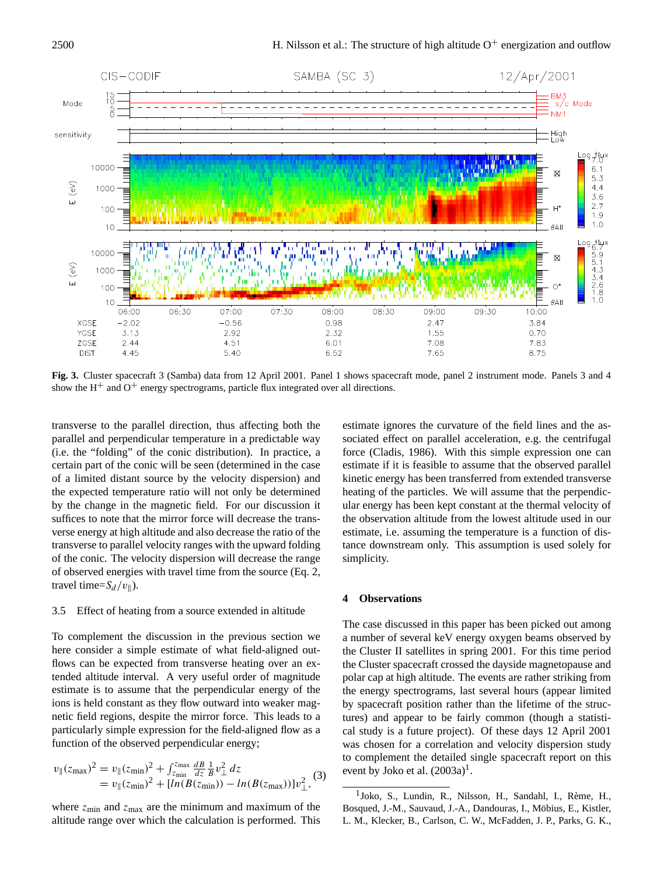

**Fig. 3.** Cluster spacecraft 3 (Samba) data from 12 April 2001. Panel 1 shows spacecraft mode, panel 2 instrument mode. Panels 3 and 4 show the  $H^+$  and  $O^+$  energy spectrograms, particle flux integrated over all directions.

transverse to the parallel direction, thus affecting both the parallel and perpendicular temperature in a predictable way (i.e. the "folding" of the conic distribution). In practice, a certain part of the conic will be seen (determined in the case of a limited distant source by the velocity dispersion) and the expected temperature ratio will not only be determined by the change in the magnetic field. For our discussion it suffices to note that the mirror force will decrease the transverse energy at high altitude and also decrease the ratio of the transverse to parallel velocity ranges with the upward folding of the conic. The velocity dispersion will decrease the range of observed energies with travel time from the source (Eq. 2, travel time= $S_d/v_{\parallel}$ ).

### 3.5 Effect of heating from a source extended in altitude

To complement the discussion in the previous section we here consider a simple estimate of what field-aligned outflows can be expected from transverse heating over an extended altitude interval. A very useful order of magnitude estimate is to assume that the perpendicular energy of the ions is held constant as they flow outward into weaker magnetic field regions, despite the mirror force. This leads to a particularly simple expression for the field-aligned flow as a function of the observed perpendicular energy;

$$
v_{\parallel}(z_{\text{max}})^{2} = v_{\parallel}(z_{\text{min}})^{2} + \int_{z_{\text{min}}}^{z_{\text{max}}} \frac{dB}{dz} \frac{1}{B} v_{\perp}^{2} dz
$$
  
=  $v_{\parallel}(z_{\text{min}})^{2} + [ln(B(z_{\text{min}})) - ln(B(z_{\text{max}}))]v_{\perp}^{2},$  (3)

where  $z_{\text{min}}$  and  $z_{\text{max}}$  are the minimum and maximum of the altitude range over which the calculation is performed. This estimate ignores the curvature of the field lines and the associated effect on parallel acceleration, e.g. the centrifugal force (Cladis, 1986). With this simple expression one can estimate if it is feasible to assume that the observed parallel kinetic energy has been transferred from extended transverse heating of the particles. We will assume that the perpendicular energy has been kept constant at the thermal velocity of the observation altitude from the lowest altitude used in our estimate, i.e. assuming the temperature is a function of distance downstream only. This assumption is used solely for simplicity.

## **4 Observations**

The case discussed in this paper has been picked out among a number of several keV energy oxygen beams observed by the Cluster II satellites in spring 2001. For this time period the Cluster spacecraft crossed the dayside magnetopause and polar cap at high altitude. The events are rather striking from the energy spectrograms, last several hours (appear limited by spacecraft position rather than the lifetime of the structures) and appear to be fairly common (though a statistical study is a future project). Of these days 12 April 2001 was chosen for a correlation and velocity dispersion study to complement the detailed single spacecraft report on this event by Joko et al.  $(2003a)^{1}$ .

<sup>&</sup>lt;sup>1</sup>Joko, S., Lundin, R., Nilsson, H., Sandahl, I., Rème, H., Bosqued, J.-M., Sauvaud, J.-A., Dandouras, I., Möbius, E., Kistler, L. M., Klecker, B., Carlson, C. W., McFadden, J. P., Parks, G. K.,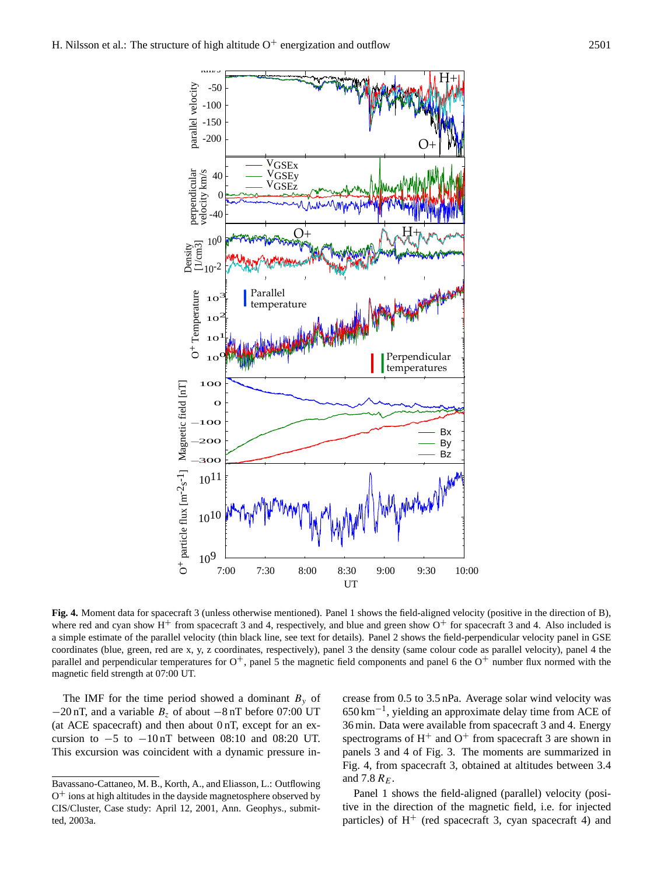

**Fig. 4.** Moment data for spacecraft 3 (unless otherwise mentioned). Panel 1 shows the field-aligned velocity (positive in the direction of B), where red and cyan show  $H^+$  from spacecraft 3 and 4, respectively, and blue and green show  $O^+$  for spacecraft 3 and 4. Also included is a simple estimate of the parallel velocity (thin black line, see text for details). Panel 2 shows the field-perpendicular velocity panel in GSE coordinates (blue, green, red are x, y, z coordinates, respectively), panel 3 the density (same colour code as parallel velocity), panel 4 the parallel and perpendicular temperatures for  $O^+$ , panel 5 the magnetic field components and panel 6 the  $O^+$  number flux normed with the magnetic field strength at 07:00 UT.

The IMF for the time period showed a dominant  $B_y$  of  $-20$  nT, and a variable  $B_z$  of about  $-8$  nT before 07:00 UT (at ACE spacecraft) and then about 0 nT, except for an excursion to  $-5$  to  $-10nT$  between 08:10 and 08:20 UT. This excursion was coincident with a dynamic pressure increase from 0.5 to 3.5 nPa. Average solar wind velocity was 650 km−<sup>1</sup> , yielding an approximate delay time from ACE of 36 min. Data were available from spacecraft 3 and 4. Energy spectrograms of  $H^+$  and  $O^+$  from spacecraft 3 are shown in panels 3 and 4 of Fig. 3. The moments are summarized in Fig. 4, from spacecraft 3, obtained at altitudes between 3.4 and 7.8  $R_E$ .

Panel 1 shows the field-aligned (parallel) velocity (positive in the direction of the magnetic field, i.e. for injected particles) of  $H^+$  (red spacecraft 3, cyan spacecraft 4) and

Bavassano-Cattaneo, M. B., Korth, A., and Eliasson, L.: Outflowing O <sup>+</sup> ions at high altitudes in the dayside magnetosphere observed by CIS/Cluster, Case study: April 12, 2001, Ann. Geophys., submitted, 2003a.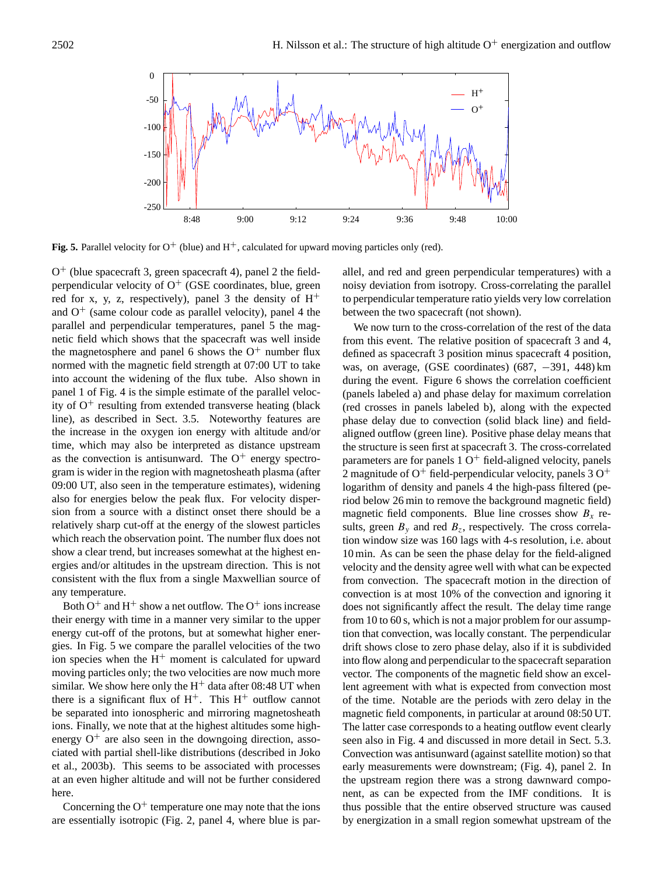

**Fig. 5.** Parallel velocity for  $O^+$  (blue) and  $H^+$ , calculated for upward moving particles only (red).

O <sup>+</sup> (blue spacecraft 3, green spacecraft 4), panel 2 the fieldperpendicular velocity of  $O^+$  (GSE coordinates, blue, green red for x, y, z, respectively), panel 3 the density of  $H^+$ and  $O<sup>+</sup>$  (same colour code as parallel velocity), panel 4 the parallel and perpendicular temperatures, panel 5 the magnetic field which shows that the spacecraft was well inside the magnetosphere and panel 6 shows the  $O^+$  number flux normed with the magnetic field strength at 07:00 UT to take into account the widening of the flux tube. Also shown in panel 1 of Fig. 4 is the simple estimate of the parallel velocity of  $O^+$  resulting from extended transverse heating (black line), as described in Sect. 3.5. Noteworthy features are the increase in the oxygen ion energy with altitude and/or time, which may also be interpreted as distance upstream as the convection is antisunward. The  $O^+$  energy spectrogram is wider in the region with magnetosheath plasma (after 09:00 UT, also seen in the temperature estimates), widening also for energies below the peak flux. For velocity dispersion from a source with a distinct onset there should be a relatively sharp cut-off at the energy of the slowest particles which reach the observation point. The number flux does not show a clear trend, but increases somewhat at the highest energies and/or altitudes in the upstream direction. This is not consistent with the flux from a single Maxwellian source of any temperature.

Both  $O^+$  and H<sup>+</sup> show a net outflow. The  $O^+$  ions increase their energy with time in a manner very similar to the upper energy cut-off of the protons, but at somewhat higher energies. In Fig. 5 we compare the parallel velocities of the two ion species when the  $H<sup>+</sup>$  moment is calculated for upward moving particles only; the two velocities are now much more similar. We show here only the  $H^+$  data after 08:48 UT when there is a significant flux of  $H^+$ . This  $H^+$  outflow cannot be separated into ionospheric and mirroring magnetosheath ions. Finally, we note that at the highest altitudes some highenergy  $O^+$  are also seen in the downgoing direction, associated with partial shell-like distributions (described in Joko et al., 2003b). This seems to be associated with processes at an even higher altitude and will not be further considered here.

Concerning the  $O^+$  temperature one may note that the ions are essentially isotropic (Fig. 2, panel 4, where blue is parallel, and red and green perpendicular temperatures) with a noisy deviation from isotropy. Cross-correlating the parallel to perpendicular temperature ratio yields very low correlation between the two spacecraft (not shown).

We now turn to the cross-correlation of the rest of the data from this event. The relative position of spacecraft 3 and 4, defined as spacecraft 3 position minus spacecraft 4 position, was, on average, (GSE coordinates)  $(687, -391, 448)$  km during the event. Figure 6 shows the correlation coefficient (panels labeled a) and phase delay for maximum correlation (red crosses in panels labeled b), along with the expected phase delay due to convection (solid black line) and fieldaligned outflow (green line). Positive phase delay means that the structure is seen first at spacecraft 3. The cross-correlated parameters are for panels  $10<sup>+</sup>$  field-aligned velocity, panels 2 magnitude of  $O^+$  field-perpendicular velocity, panels 3  $O^+$ logarithm of density and panels 4 the high-pass filtered (period below 26 min to remove the background magnetic field) magnetic field components. Blue line crosses show  $B_x$  results, green  $B_y$  and red  $B_z$ , respectively. The cross correlation window size was 160 lags with 4-s resolution, i.e. about 10 min. As can be seen the phase delay for the field-aligned velocity and the density agree well with what can be expected from convection. The spacecraft motion in the direction of convection is at most 10% of the convection and ignoring it does not significantly affect the result. The delay time range from 10 to 60 s, which is not a major problem for our assumption that convection, was locally constant. The perpendicular drift shows close to zero phase delay, also if it is subdivided into flow along and perpendicular to the spacecraft separation vector. The components of the magnetic field show an excellent agreement with what is expected from convection most of the time. Notable are the periods with zero delay in the magnetic field components, in particular at around 08:50 UT. The latter case corresponds to a heating outflow event clearly seen also in Fig. 4 and discussed in more detail in Sect. 5.3. Convection was antisunward (against satellite motion) so that early measurements were downstream; (Fig. 4), panel 2. In the upstream region there was a strong dawnward component, as can be expected from the IMF conditions. It is thus possible that the entire observed structure was caused by energization in a small region somewhat upstream of the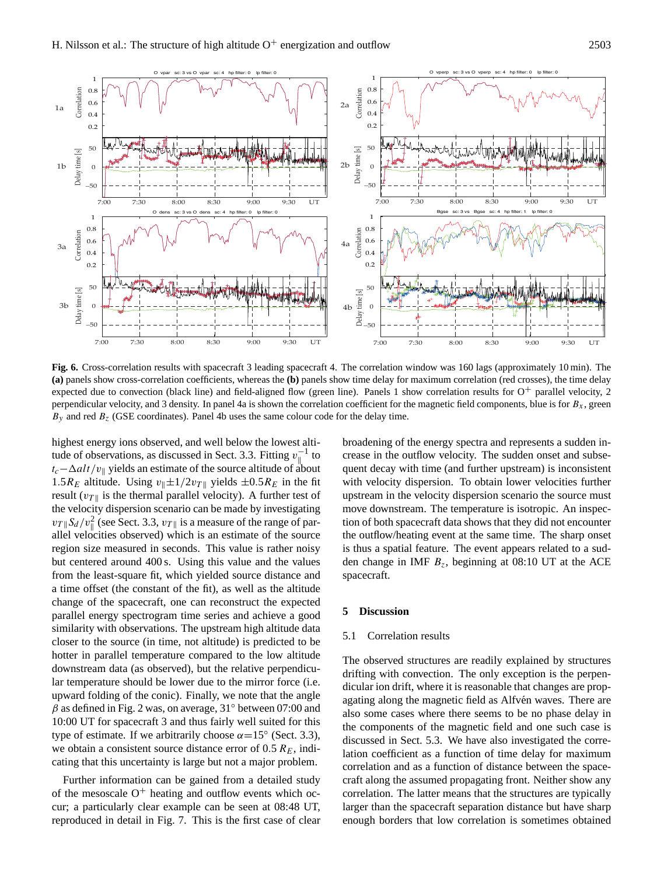

**Fig. 6.** Cross-correlation results with spacecraft 3 leading spacecraft 4. The correlation window was 160 lags (approximately 10 min). The **(a)** panels show cross-correlation coefficients, whereas the **(b)** panels show time delay for maximum correlation (red crosses), the time delay expected due to convection (black line) and field-aligned flow (green line). Panels 1 show correlation results for  $O^+$  parallel velocity, 2 perpendicular velocity, and 3 density. In panel 4a is shown the correlation coefficient for the magnetic field components, blue is for  $B_x$ , green  $B_y$  and red  $B_z$  (GSE coordinates). Panel 4b uses the same colour code for the delay time.

highest energy ions observed, and well below the lowest altitude of observations, as discussed in Sect. 3.3. Fitting  $v_{\parallel}^{-1}$  to  $t_c-\Delta alt/v_{\parallel}$  yields an estimate of the source altitude of about 1.5 $R_E$  altitude. Using  $v_{\parallel} \pm 1/2v_{T\parallel}$  yields  $\pm 0.5R_E$  in the fit result ( $v_T$ <sub>||</sub> is the thermal parallel velocity). A further test of the velocity dispersion scenario can be made by investigating  $v_T \sqrt{\frac{S_d}{v_T}}$  (see Sect. 3.3,  $v_T \sqrt{\frac{S_d}{v_T}}$  is a measure of the range of parallel velocities observed) which is an estimate of the source region size measured in seconds. This value is rather noisy but centered around 400 s. Using this value and the values from the least-square fit, which yielded source distance and a time offset (the constant of the fit), as well as the altitude change of the spacecraft, one can reconstruct the expected parallel energy spectrogram time series and achieve a good similarity with observations. The upstream high altitude data closer to the source (in time, not altitude) is predicted to be hotter in parallel temperature compared to the low altitude downstream data (as observed), but the relative perpendicular temperature should be lower due to the mirror force (i.e. upward folding of the conic). Finally, we note that the angle  $\beta$  as defined in Fig. 2 was, on average, 31 $\degree$  between 07:00 and 10:00 UT for spacecraft 3 and thus fairly well suited for this type of estimate. If we arbitrarily choose  $\alpha = 15^{\circ}$  (Sect. 3.3), we obtain a consistent source distance error of  $0.5 R<sub>E</sub>$ , indicating that this uncertainty is large but not a major problem.

Further information can be gained from a detailed study of the mesoscale  $O^+$  heating and outflow events which occur; a particularly clear example can be seen at 08:48 UT, reproduced in detail in Fig. 7. This is the first case of clear broadening of the energy spectra and represents a sudden increase in the outflow velocity. The sudden onset and subsequent decay with time (and further upstream) is inconsistent with velocity dispersion. To obtain lower velocities further upstream in the velocity dispersion scenario the source must move downstream. The temperature is isotropic. An inspection of both spacecraft data shows that they did not encounter the outflow/heating event at the same time. The sharp onset is thus a spatial feature. The event appears related to a sudden change in IMF  $B_z$ , beginning at 08:10 UT at the ACE spacecraft.

### **5 Discussion**

## 5.1 Correlation results

The observed structures are readily explained by structures drifting with convection. The only exception is the perpendicular ion drift, where it is reasonable that changes are propagating along the magnetic field as Alfvén waves. There are also some cases where there seems to be no phase delay in the components of the magnetic field and one such case is discussed in Sect. 5.3. We have also investigated the correlation coefficient as a function of time delay for maximum correlation and as a function of distance between the spacecraft along the assumed propagating front. Neither show any correlation. The latter means that the structures are typically larger than the spacecraft separation distance but have sharp enough borders that low correlation is sometimes obtained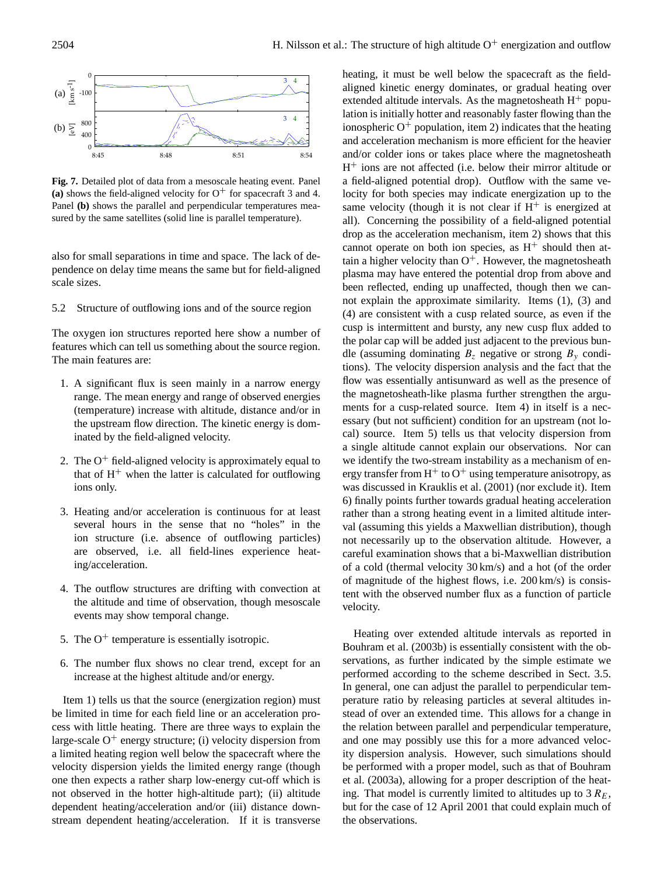

**Fig. 7.** Detailed plot of data from a mesoscale heating event. Panel (a) shows the field-aligned velocity for  $O^+$  for spacecraft 3 and 4. Panel **(b)** shows the parallel and perpendicular temperatures measured by the same satellites (solid line is parallel temperature).

also for small separations in time and space. The lack of dependence on delay time means the same but for field-aligned scale sizes.

5.2 Structure of outflowing ions and of the source region

The oxygen ion structures reported here show a number of features which can tell us something about the source region. The main features are:

- 1. A significant flux is seen mainly in a narrow energy range. The mean energy and range of observed energies (temperature) increase with altitude, distance and/or in the upstream flow direction. The kinetic energy is dominated by the field-aligned velocity.
- 2. The  $O^+$  field-aligned velocity is approximately equal to that of  $H<sup>+</sup>$  when the latter is calculated for outflowing ions only.
- 3. Heating and/or acceleration is continuous for at least several hours in the sense that no "holes" in the ion structure (i.e. absence of outflowing particles) are observed, i.e. all field-lines experience heating/acceleration.
- 4. The outflow structures are drifting with convection at the altitude and time of observation, though mesoscale events may show temporal change.
- 5. The  $O^+$  temperature is essentially isotropic.
- 6. The number flux shows no clear trend, except for an increase at the highest altitude and/or energy.

Item 1) tells us that the source (energization region) must be limited in time for each field line or an acceleration process with little heating. There are three ways to explain the large-scale  $O^+$  energy structure; (i) velocity dispersion from a limited heating region well below the spacecraft where the velocity dispersion yields the limited energy range (though one then expects a rather sharp low-energy cut-off which is not observed in the hotter high-altitude part); (ii) altitude dependent heating/acceleration and/or (iii) distance downstream dependent heating/acceleration. If it is transverse heating, it must be well below the spacecraft as the fieldaligned kinetic energy dominates, or gradual heating over extended altitude intervals. As the magnetosheath  $H^+$  population is initially hotter and reasonably faster flowing than the ionospheric  $O^+$  population, item 2) indicates that the heating and acceleration mechanism is more efficient for the heavier and/or colder ions or takes place where the magnetosheath H <sup>+</sup> ions are not affected (i.e. below their mirror altitude or a field-aligned potential drop). Outflow with the same velocity for both species may indicate energization up to the same velocity (though it is not clear if  $H^+$  is energized at all). Concerning the possibility of a field-aligned potential drop as the acceleration mechanism, item 2) shows that this cannot operate on both ion species, as  $H^+$  should then attain a higher velocity than  $O^+$ . However, the magnetosheath plasma may have entered the potential drop from above and been reflected, ending up unaffected, though then we cannot explain the approximate similarity. Items (1), (3) and (4) are consistent with a cusp related source, as even if the cusp is intermittent and bursty, any new cusp flux added to the polar cap will be added just adjacent to the previous bundle (assuming dominating  $B_z$  negative or strong  $B_y$  conditions). The velocity dispersion analysis and the fact that the flow was essentially antisunward as well as the presence of the magnetosheath-like plasma further strengthen the arguments for a cusp-related source. Item 4) in itself is a necessary (but not sufficient) condition for an upstream (not local) source. Item 5) tells us that velocity dispersion from a single altitude cannot explain our observations. Nor can we identify the two-stream instability as a mechanism of energy transfer from  $H^+$  to  $O^+$  using temperature anisotropy, as was discussed in Krauklis et al. (2001) (nor exclude it). Item 6) finally points further towards gradual heating acceleration rather than a strong heating event in a limited altitude interval (assuming this yields a Maxwellian distribution), though not necessarily up to the observation altitude. However, a careful examination shows that a bi-Maxwellian distribution of a cold (thermal velocity 30 km/s) and a hot (of the order of magnitude of the highest flows, i.e. 200 km/s) is consistent with the observed number flux as a function of particle velocity.

Heating over extended altitude intervals as reported in Bouhram et al. (2003b) is essentially consistent with the observations, as further indicated by the simple estimate we performed according to the scheme described in Sect. 3.5. In general, one can adjust the parallel to perpendicular temperature ratio by releasing particles at several altitudes instead of over an extended time. This allows for a change in the relation between parallel and perpendicular temperature, and one may possibly use this for a more advanced velocity dispersion analysis. However, such simulations should be performed with a proper model, such as that of Bouhram et al. (2003a), allowing for a proper description of the heating. That model is currently limited to altitudes up to  $3 R_E$ , but for the case of 12 April 2001 that could explain much of the observations.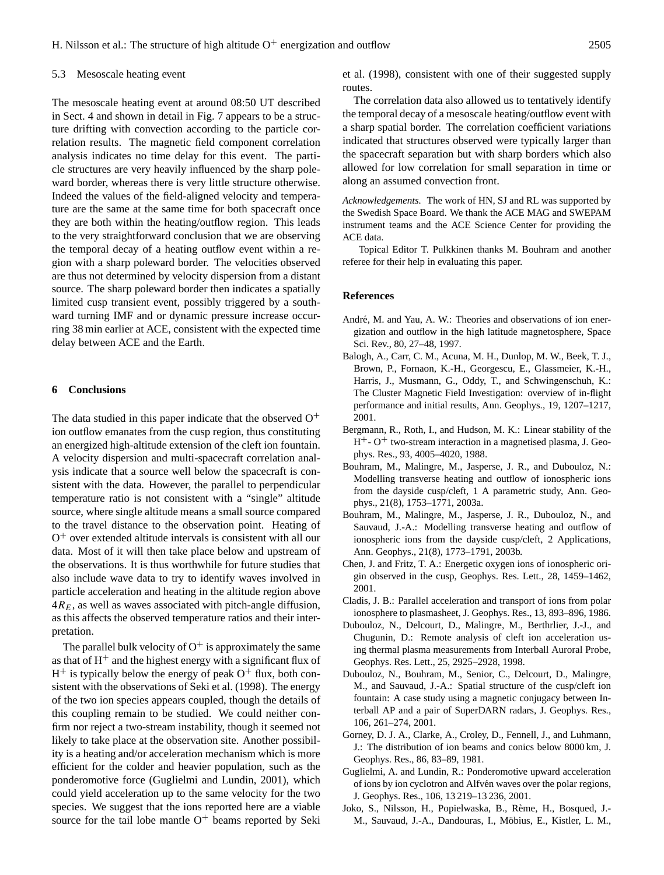#### 5.3 Mesoscale heating event

The mesoscale heating event at around 08:50 UT described in Sect. 4 and shown in detail in Fig. 7 appears to be a structure drifting with convection according to the particle correlation results. The magnetic field component correlation analysis indicates no time delay for this event. The particle structures are very heavily influenced by the sharp poleward border, whereas there is very little structure otherwise. Indeed the values of the field-aligned velocity and temperature are the same at the same time for both spacecraft once they are both within the heating/outflow region. This leads to the very straightforward conclusion that we are observing the temporal decay of a heating outflow event within a region with a sharp poleward border. The velocities observed are thus not determined by velocity dispersion from a distant source. The sharp poleward border then indicates a spatially limited cusp transient event, possibly triggered by a southward turning IMF and or dynamic pressure increase occurring 38 min earlier at ACE, consistent with the expected time delay between ACE and the Earth.

#### **6 Conclusions**

The data studied in this paper indicate that the observed  $O<sup>+</sup>$ ion outflow emanates from the cusp region, thus constituting an energized high-altitude extension of the cleft ion fountain. A velocity dispersion and multi-spacecraft correlation analysis indicate that a source well below the spacecraft is consistent with the data. However, the parallel to perpendicular temperature ratio is not consistent with a "single" altitude source, where single altitude means a small source compared to the travel distance to the observation point. Heating of O <sup>+</sup> over extended altitude intervals is consistent with all our data. Most of it will then take place below and upstream of the observations. It is thus worthwhile for future studies that also include wave data to try to identify waves involved in particle acceleration and heating in the altitude region above  $4R_E$ , as well as waves associated with pitch-angle diffusion, as this affects the observed temperature ratios and their interpretation.

The parallel bulk velocity of  $O<sup>+</sup>$  is approximately the same as that of  $H^+$  and the highest energy with a significant flux of  $H^+$  is typically below the energy of peak  $O^+$  flux, both consistent with the observations of Seki et al. (1998). The energy of the two ion species appears coupled, though the details of this coupling remain to be studied. We could neither confirm nor reject a two-stream instability, though it seemed not likely to take place at the observation site. Another possibility is a heating and/or acceleration mechanism which is more efficient for the colder and heavier population, such as the ponderomotive force (Guglielmi and Lundin, 2001), which could yield acceleration up to the same velocity for the two species. We suggest that the ions reported here are a viable source for the tail lobe mantle  $O<sup>+</sup>$  beams reported by Seki et al. (1998), consistent with one of their suggested supply routes.

The correlation data also allowed us to tentatively identify the temporal decay of a mesoscale heating/outflow event with a sharp spatial border. The correlation coefficient variations indicated that structures observed were typically larger than the spacecraft separation but with sharp borders which also allowed for low correlation for small separation in time or along an assumed convection front.

*Acknowledgements.* The work of HN, SJ and RL was supported by the Swedish Space Board. We thank the ACE MAG and SWEPAM instrument teams and the ACE Science Center for providing the ACE data.

Topical Editor T. Pulkkinen thanks M. Bouhram and another referee for their help in evaluating this paper.

#### **References**

- André, M. and Yau, A. W.: Theories and observations of ion energization and outflow in the high latitude magnetosphere, Space Sci. Rev., 80, 27–48, 1997.
- Balogh, A., Carr, C. M., Acuna, M. H., Dunlop, M. W., Beek, T. J., Brown, P., Fornaon, K.-H., Georgescu, E., Glassmeier, K.-H., Harris, J., Musmann, G., Oddy, T., and Schwingenschuh, K.: The Cluster Magnetic Field Investigation: overview of in-flight performance and initial results, Ann. Geophys., 19, 1207–1217, 2001.
- Bergmann, R., Roth, I., and Hudson, M. K.: Linear stability of the  $H^+$ - O<sup>+</sup> two-stream interaction in a magnetised plasma, J. Geophys. Res., 93, 4005–4020, 1988.
- Bouhram, M., Malingre, M., Jasperse, J. R., and Dubouloz, N.: Modelling transverse heating and outflow of ionospheric ions from the dayside cusp/cleft, 1 A parametric study, Ann. Geophys., 21(8), 1753–1771, 2003a.
- Bouhram, M., Malingre, M., Jasperse, J. R., Dubouloz, N., and Sauvaud, J.-A.: Modelling transverse heating and outflow of ionospheric ions from the dayside cusp/cleft, 2 Applications, Ann. Geophys., 21(8), 1773–1791, 2003b.
- Chen, J. and Fritz, T. A.: Energetic oxygen ions of ionospheric origin observed in the cusp, Geophys. Res. Lett., 28, 1459–1462, 2001.
- Cladis, J. B.: Parallel acceleration and transport of ions from polar ionosphere to plasmasheet, J. Geophys. Res., 13, 893–896, 1986.
- Dubouloz, N., Delcourt, D., Malingre, M., Berthrlier, J.-J., and Chugunin, D.: Remote analysis of cleft ion acceleration using thermal plasma measurements from Interball Auroral Probe, Geophys. Res. Lett., 25, 2925–2928, 1998.
- Dubouloz, N., Bouhram, M., Senior, C., Delcourt, D., Malingre, M., and Sauvaud, J.-A.: Spatial structure of the cusp/cleft ion fountain: A case study using a magnetic conjugacy between Interball AP and a pair of SuperDARN radars, J. Geophys. Res., 106, 261–274, 2001.
- Gorney, D. J. A., Clarke, A., Croley, D., Fennell, J., and Luhmann, J.: The distribution of ion beams and conics below 8000 km, J. Geophys. Res., 86, 83–89, 1981.
- Guglielmi, A. and Lundin, R.: Ponderomotive upward acceleration of ions by ion cyclotron and Alfvén waves over the polar regions, J. Geophys. Res., 106, 13 219–13 236, 2001.
- Joko, S., Nilsson, H., Popielwaska, B., Reme, H., Bosqued, J.- ` M., Sauvaud, J.-A., Dandouras, I., Möbius, E., Kistler, L. M.,